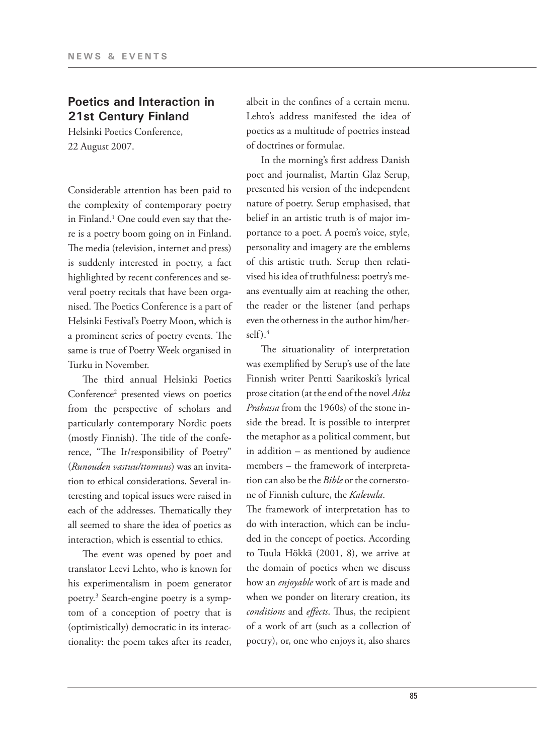# **Poetics and Interaction in 21st Century Finland**

Helsinki Poetics Conference, 22 August 2007.

Considerable attention has been paid to the complexity of contemporary poetry in Finland.1 One could even say that there is a poetry boom going on in Finland. The media (television, internet and press) is suddenly interested in poetry, a fact highlighted by recent conferences and several poetry recitals that have been organised. The Poetics Conference is a part of Helsinki Festival's Poetry Moon, which is a prominent series of poetry events. The same is true of Poetry Week organised in Turku in November.

The third annual Helsinki Poetics Conference<sup>2</sup> presented views on poetics from the perspective of scholars and particularly contemporary Nordic poets (mostly Finnish). The title of the conference, "The Ir/responsibility of Poetry" (*Runouden vastuu/ttomuus*) was an invitation to ethical considerations. Several interesting and topical issues were raised in each of the addresses. Thematically they all seemed to share the idea of poetics as interaction, which is essential to ethics.

The event was opened by poet and translator Leevi Lehto, who is known for his experimentalism in poem generator poetry.3 Search-engine poetry is a symptom of a conception of poetry that is (optimistically) democratic in its interactionality: the poem takes after its reader, albeit in the confines of a certain menu. Lehto's address manifested the idea of poetics as a multitude of poetries instead of doctrines or formulae.

In the morning's first address Danish poet and journalist, Martin Glaz Serup, presented his version of the independent nature of poetry. Serup emphasised, that belief in an artistic truth is of major importance to a poet. A poem's voice, style, personality and imagery are the emblems of this artistic truth. Serup then relativised his idea of truthfulness: poetry's means eventually aim at reaching the other, the reader or the listener (and perhaps even the otherness in the author him/herself).4

The situationality of interpretation was exemplified by Serup's use of the late Finnish writer Pentti Saarikoski's lyrical prose citation (at the end of the novel *Aika Prahassa* from the 1960s) of the stone inside the bread. It is possible to interpret the metaphor as a political comment, but in addition – as mentioned by audience members – the framework of interpretation can also be the *Bible* or the cornerstone of Finnish culture, the *Kalevala*.

The framework of interpretation has to do with interaction, which can be included in the concept of poetics. According to Tuula Hökkä (2001, 8), we arrive at the domain of poetics when we discuss how an *enjoyable* work of art is made and when we ponder on literary creation, its *conditions* and *effects*. Thus, the recipient of a work of art (such as a collection of poetry), or, one who enjoys it, also shares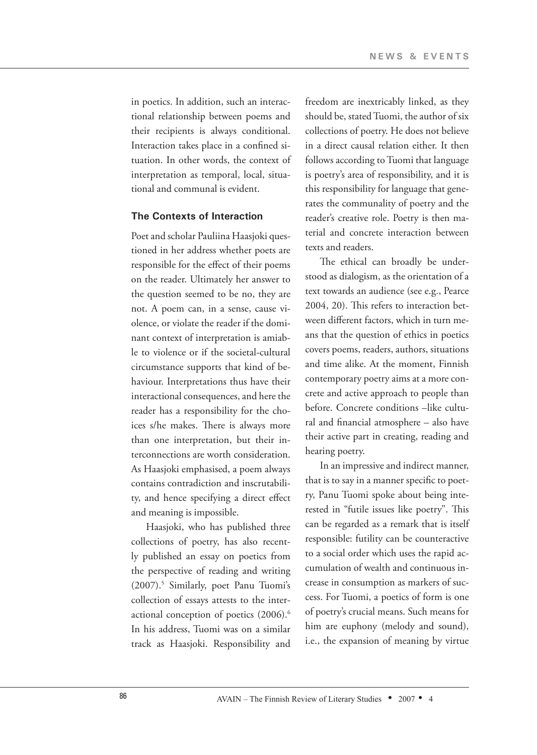in poetics. In addition, such an interactional relationship between poems and their recipients is always conditional. Interaction takes place in a confined situation. In other words, the context of interpretation as temporal, local, situational and communal is evident.

### **The Contexts of Interaction**

Poet and scholar Pauliina Haasjoki questioned in her address whether poets are responsible for the effect of their poems on the reader. Ultimately her answer to the question seemed to be no, they are not. A poem can, in a sense, cause violence, or violate the reader if the dominant context of interpretation is amiable to violence or if the societal-cultural circumstance supports that kind of behaviour. Interpretations thus have their interactional consequences, and here the reader has a responsibility for the choices s/he makes. There is always more than one interpretation, but their interconnections are worth consideration. As Haasjoki emphasised, a poem always contains contradiction and inscrutability, and hence specifying a direct effect and meaning is impossible.

Haasjoki, who has published three collections of poetry, has also recently published an essay on poetics from the perspective of reading and writing (2007).5 Similarly, poet Panu Tuomi's collection of essays attests to the interactional conception of poetics (2006).6 In his address, Tuomi was on a similar track as Haasjoki. Responsibility and

freedom are inextricably linked, as they should be, stated Tuomi, the author of six collections of poetry. He does not believe in a direct causal relation either. It then follows according to Tuomi that language is poetry's area of responsibility, and it is this responsibility for language that generates the communality of poetry and the reader's creative role. Poetry is then material and concrete interaction between texts and readers.

The ethical can broadly be understood as dialogism, as the orientation of a text towards an audience (see e.g., Pearce 2004, 20). This refers to interaction between different factors, which in turn means that the question of ethics in poetics covers poems, readers, authors, situations and time alike. At the moment, Finnish contemporary poetry aims at a more concrete and active approach to people than before. Concrete conditions –like cultural and financial atmosphere – also have their active part in creating, reading and hearing poetry.

In an impressive and indirect manner, that is to say in a manner specific to poetry, Panu Tuomi spoke about being interested in "futile issues like poetry". This can be regarded as a remark that is itself responsible: futility can be counteractive to a social order which uses the rapid accumulation of wealth and continuous increase in consumption as markers of success. For Tuomi, a poetics of form is one of poetry's crucial means. Such means for him are euphony (melody and sound), i.e., the expansion of meaning by virtue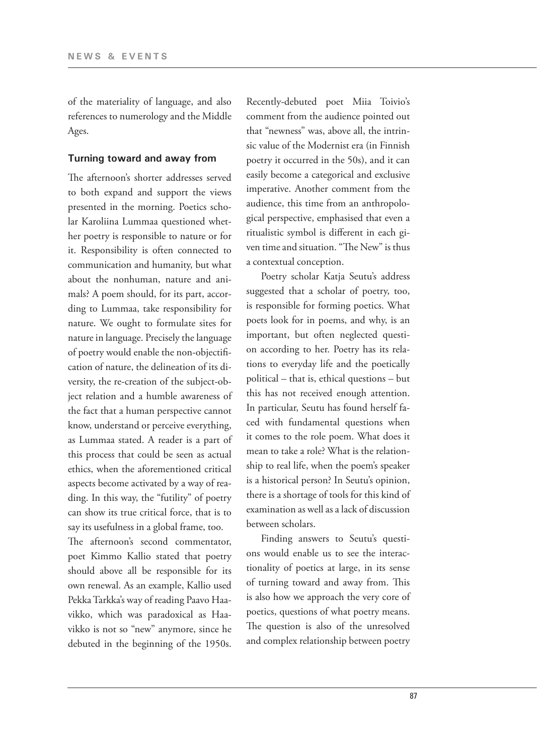of the materiality of language, and also references to numerology and the Middle Ages.

#### **Turning toward and away from**

The afternoon's shorter addresses served to both expand and support the views presented in the morning. Poetics scholar Karoliina Lummaa questioned whether poetry is responsible to nature or for it. Responsibility is often connected to communication and humanity, but what about the nonhuman, nature and animals? A poem should, for its part, according to Lummaa, take responsibility for nature. We ought to formulate sites for nature in language. Precisely the language of poetry would enable the non-objectification of nature, the delineation of its diversity, the re-creation of the subject-object relation and a humble awareness of the fact that a human perspective cannot know, understand or perceive everything, as Lummaa stated. A reader is a part of this process that could be seen as actual ethics, when the aforementioned critical aspects become activated by a way of reading. In this way, the "futility" of poetry can show its true critical force, that is to say its usefulness in a global frame, too.

The afternoon's second commentator, poet Kimmo Kallio stated that poetry should above all be responsible for its own renewal. As an example, Kallio used Pekka Tarkka's way of reading Paavo Haavikko, which was paradoxical as Haavikko is not so "new" anymore, since he debuted in the beginning of the 1950s.

Recently-debuted poet Miia Toivio's comment from the audience pointed out that "newness" was, above all, the intrinsic value of the Modernist era (in Finnish poetry it occurred in the 50s), and it can easily become a categorical and exclusive imperative. Another comment from the audience, this time from an anthropological perspective, emphasised that even a ritualistic symbol is different in each given time and situation. "The New" is thus a contextual conception.

Poetry scholar Katja Seutu's address suggested that a scholar of poetry, too, is responsible for forming poetics. What poets look for in poems, and why, is an important, but often neglected question according to her. Poetry has its relations to everyday life and the poetically political – that is, ethical questions – but this has not received enough attention. In particular, Seutu has found herself faced with fundamental questions when it comes to the role poem. What does it mean to take a role? What is the relationship to real life, when the poem's speaker is a historical person? In Seutu's opinion, there is a shortage of tools for this kind of examination as well as a lack of discussion between scholars.

Finding answers to Seutu's questions would enable us to see the interactionality of poetics at large, in its sense of turning toward and away from. This is also how we approach the very core of poetics, questions of what poetry means. The question is also of the unresolved and complex relationship between poetry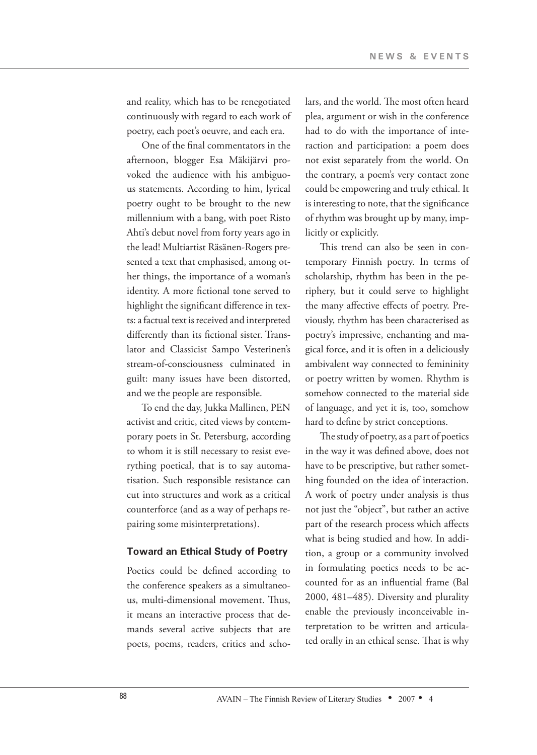and reality, which has to be renegotiated continuously with regard to each work of poetry, each poet's oeuvre, and each era.

One of the final commentators in the afternoon, blogger Esa Mäkijärvi provoked the audience with his ambiguous statements. According to him, lyrical poetry ought to be brought to the new millennium with a bang, with poet Risto Ahti's debut novel from forty years ago in the lead! Multiartist Räsänen-Rogers presented a text that emphasised, among other things, the importance of a woman's identity. A more fictional tone served to highlight the significant difference in texts: a factual text is received and interpreted differently than its fictional sister. Translator and Classicist Sampo Vesterinen's stream-of-consciousness culminated in guilt: many issues have been distorted, and we the people are responsible.

To end the day, Jukka Mallinen, PEN activist and critic, cited views by contemporary poets in St. Petersburg, according to whom it is still necessary to resist everything poetical, that is to say automatisation. Such responsible resistance can cut into structures and work as a critical counterforce (and as a way of perhaps repairing some misinterpretations).

#### **Toward an Ethical Study of Poetry**

Poetics could be defined according to the conference speakers as a simultaneous, multi-dimensional movement. Thus, it means an interactive process that demands several active subjects that are poets, poems, readers, critics and scholars, and the world. The most often heard plea, argument or wish in the conference had to do with the importance of interaction and participation: a poem does not exist separately from the world. On the contrary, a poem's very contact zone could be empowering and truly ethical. It is interesting to note, that the significance of rhythm was brought up by many, implicitly or explicitly.

This trend can also be seen in contemporary Finnish poetry. In terms of scholarship, rhythm has been in the periphery, but it could serve to highlight the many affective effects of poetry. Previously, rhythm has been characterised as poetry's impressive, enchanting and magical force, and it is often in a deliciously ambivalent way connected to femininity or poetry written by women. Rhythm is somehow connected to the material side of language, and yet it is, too, somehow hard to define by strict conceptions.

The study of poetry, as a part of poetics in the way it was defined above, does not have to be prescriptive, but rather something founded on the idea of interaction. A work of poetry under analysis is thus not just the "object", but rather an active part of the research process which affects what is being studied and how. In addition, a group or a community involved in formulating poetics needs to be accounted for as an influential frame (Bal 2000, 481–485). Diversity and plurality enable the previously inconceivable interpretation to be written and articulated orally in an ethical sense. That is why